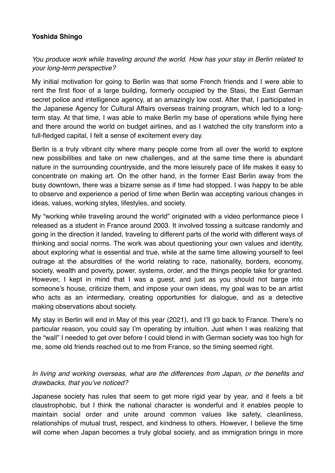## **Yoshida Shingo**

*You produce work while traveling around the world. How has your stay in Berlin related to your long-term perspective?*

My initial motivation for going to Berlin was that some French friends and I were able to rent the first floor of a large building, formerly occupied by the Stasi, the East German secret police and intelligence agency, at an amazingly low cost. After that, I participated in the Japanese Agency for Cultural Affairs overseas training program, which led to a longterm stay. At that time, I was able to make Berlin my base of operations while flying here and there around the world on budget airlines, and as I watched the city transform into a full-fledged capital, I felt a sense of excitement every day.

Berlin is a truly vibrant city where many people come from all over the world to explore new possibilities and take on new challenges, and at the same time there is abundant nature in the surrounding countryside, and the more leisurely pace of life makes it easy to concentrate on making art. On the other hand, in the former East Berlin away from the busy downtown, there was a bizarre sense as if time had stopped. I was happy to be able to observe and experience a period of time when Berlin was accepting various changes in ideas, values, working styles, lifestyles, and society.

My "working while traveling around the world" originated with a video performance piece I released as a student in France around 2003. It involved tossing a suitcase randomly and going in the direction it landed, traveling to different parts of the world with different ways of thinking and social norms. The work was about questioning your own values and identity, about exploring what is essential and true, while at the same time allowing yourself to feel outrage at the absurdities of the world relating to race, nationality, borders, economy, society, wealth and poverty, power, systems, order, and the things people take for granted. However, I kept in mind that I was a guest, and just as you should not barge into someone's house, criticize them, and impose your own ideas, my goal was to be an artist who acts as an intermediary, creating opportunities for dialogue, and as a detective making observations about society.

My stay in Berlin will end in May of this year (2021), and I'll go back to France. There's no particular reason, you could say I'm operating by intuition. Just when I was realizing that the "wall" I needed to get over before I could blend in with German society was too high for me, some old friends reached out to me from France, so the timing seemed right.

## *In living and working overseas, what are the differences from Japan, or the benefits and drawbacks, that you've noticed?*

Japanese society has rules that seem to get more rigid year by year, and it feels a bit claustrophobic, but I think the national character is wonderful and it enables people to maintain social order and unite around common values like safety, cleanliness, relationships of mutual trust, respect, and kindness to others. However, I believe the time will come when Japan becomes a truly global society, and as immigration brings in more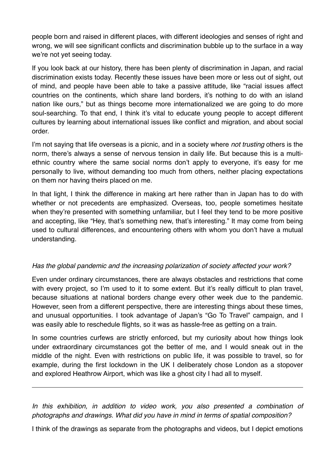people born and raised in different places, with different ideologies and senses of right and wrong, we will see significant conflicts and discrimination bubble up to the surface in a way we're not yet seeing today.

If you look back at our history, there has been plenty of discrimination in Japan, and racial discrimination exists today. Recently these issues have been more or less out of sight, out of mind, and people have been able to take a passive attitude, like "racial issues affect countries on the continents, which share land borders, it's nothing to do with an island nation like ours," but as things become more internationalized we are going to do more soul-searching. To that end, I think it's vital to educate young people to accept different cultures by learning about international issues like conflict and migration, and about social order.

I'm not saying that life overseas is a picnic, and in a society where *not trusting* others is the norm, there's always a sense of nervous tension in daily life. But because this is a multiethnic country where the same social norms don't apply to everyone, it's easy for me personally to live, without demanding too much from others, neither placing expectations on them nor having theirs placed on me.

In that light, I think the difference in making art here rather than in Japan has to do with whether or not precedents are emphasized. Overseas, too, people sometimes hesitate when they're presented with something unfamiliar, but I feel they tend to be more positive and accepting, like "Hey, that's something new, that's interesting." It may come from being used to cultural differences, and encountering others with whom you don't have a mutual understanding.

## *Has the global pandemic and the increasing polarization of society affected your work?*

Even under ordinary circumstances, there are always obstacles and restrictions that come with every project, so I'm used to it to some extent. But it's really difficult to plan travel, because situations at national borders change every other week due to the pandemic. However, seen from a different perspective, there are interesting things about these times, and unusual opportunities. I took advantage of Japan's "Go To Travel" campaign, and I was easily able to reschedule flights, so it was as hassle-free as getting on a train.

In some countries curfews are strictly enforced, but my curiosity about how things look under extraordinary circumstances got the better of me, and I would sneak out in the middle of the night. Even with restrictions on public life, it was possible to travel, so for example, during the first lockdown in the UK I deliberately chose London as a stopover and explored Heathrow Airport, which was like a ghost city I had all to myself.

*In this exhibition, in addition to video work, you also presented a combination of photographs and drawings. What did you have in mind in terms of spatial composition?*

I think of the drawings as separate from the photographs and videos, but I depict emotions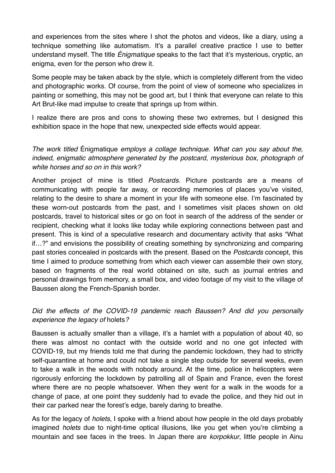and experiences from the sites where I shot the photos and videos, like a diary, using a technique something like automatism. It's a parallel creative practice I use to better understand myself. The title *Énigmatique* speaks to the fact that it's mysterious, cryptic, an enigma, even for the person who drew it.

Some people may be taken aback by the style, which is completely different from the video and photographic works. Of course, from the point of view of someone who specializes in painting or something, this may not be good art, but I think that everyone can relate to this Art Brut-like mad impulse to create that springs up from within.

I realize there are pros and cons to showing these two extremes, but I designed this exhibition space in the hope that new, unexpected side effects would appear.

*The work titled* Énigmatique *employs a collage technique. What can you say about the, indeed, enigmatic atmosphere generated by the postcard, mysterious box, photograph of white horses and so on in this work?*

Another project of mine is titled *Postcards*. Picture postcards are a means of communicating with people far away, or recording memories of places you've visited, relating to the desire to share a moment in your life with someone else. I'm fascinated by these worn-out postcards from the past, and I sometimes visit places shown on old postcards, travel to historical sites or go on foot in search of the address of the sender or recipient, checking what it looks like today while exploring connections between past and present. This is kind of a speculative research and documentary activity that asks "What if…?" and envisions the possibility of creating something by synchronizing and comparing past stories concealed in postcards with the present. Based on the *Postcards* concept, this time I aimed to produce something from which each viewer can assemble their own story, based on fragments of the real world obtained on site, such as journal entries and personal drawings from memory, a small box, and video footage of my visit to the village of Baussen along the French-Spanish border.

## *Did the effects of the COVID-19 pandemic reach Baussen? And did you personally experience the legacy of* holets*?*

Baussen is actually smaller than a village, it's a hamlet with a population of about 40, so there was almost no contact with the outside world and no one got infected with COVID-19, but my friends told me that during the pandemic lockdown, they had to strictly self-quarantine at home and could not take a single step outside for several weeks, even to take a walk in the woods with nobody around. At the time, police in helicopters were rigorously enforcing the lockdown by patrolling all of Spain and France, even the forest where there are no people whatsoever. When they went for a walk in the woods for a change of pace, at one point they suddenly had to evade the police, and they hid out in their car parked near the forest's edge, barely daring to breathe.

As for the legacy of *holets*, I spoke with a friend about how people in the old days probably imagined *holets* due to night-time optical illusions, like you get when you're climbing a mountain and see faces in the trees. In Japan there are *korpokkur*, little people in Ainu